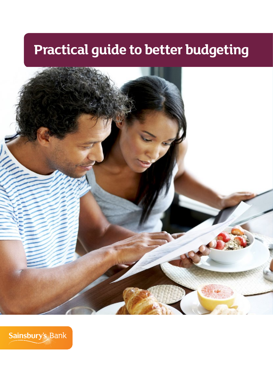## **Practical guide to better budgeting**



Sainsbury's Bank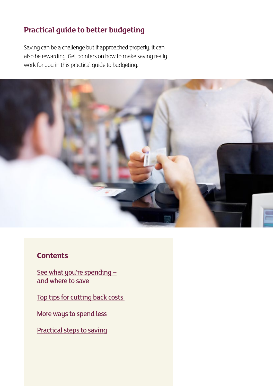## **Practical guide to better budgeting**

Saving can be a challenge but if approached properly, it can also be rewarding. Get pointers on how to make saving really work for you in this practical guide to budgeting.



## **Contents**

See what you're spendingand where to save

[Top tips for cutting back costs](#page-5-0) 

[More ways to spend less](#page-7-0)

[Practical steps to saving](#page-10-0)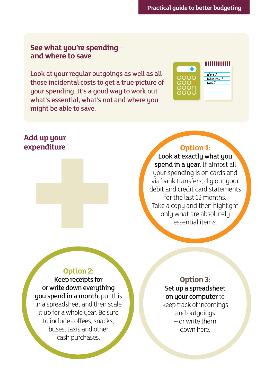#### <span id="page-2-0"></span>**See what you're spending – and where to save**

Look at your regular outgoings as well as all those incidental costs to get a true picture of your spending. It's a good way to work out what's essential, what's not and where you might be able to save.



#### **Add up your expenditure**



### **Option 1:**

Look at exactly what you spend in a year. If almost all your spending is on cards and via bank transfers, dig out your debit and credit card statements for the last 12 months. Take a copy and then highlight only what are absolutely essential items.

#### **Option 2:**

Keep receipts for or write down everuthing you spend in a month, put this in a spreadsheet and then scale it up for a whole year. Be sure to include coffees, snacks, buses, taxis and other cash purchases.

**Option 3:** Set up a spreadsheet on your computer to keep track of incomings and outgoings

– or write them down here.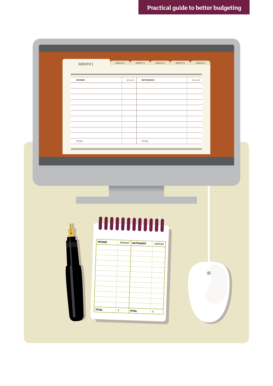|       |               | Amount           | <b>OUTGOINGS</b> | Amount |  |
|-------|---------------|------------------|------------------|--------|--|
|       |               |                  |                  |        |  |
|       |               |                  |                  |        |  |
|       |               |                  |                  |        |  |
|       |               |                  |                  |        |  |
|       |               |                  |                  |        |  |
|       |               |                  |                  |        |  |
| TOTAL |               |                  | TOTAL            |        |  |
|       |               |                  |                  |        |  |
|       |               |                  | HIIIIIIIIII      |        |  |
|       | <b>INCOME</b> | AMOUNT OUTGOINGS | AMOUNT           |        |  |
|       |               |                  |                  |        |  |
|       |               |                  |                  |        |  |
|       |               |                  |                  |        |  |
|       |               |                  |                  |        |  |
|       |               |                  |                  |        |  |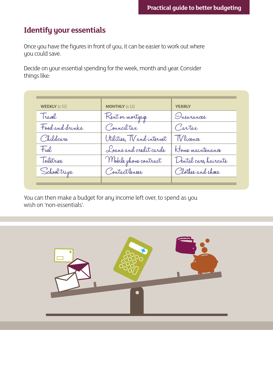## **Identify your essentials**

Once you have the figures in front of you, it can be easier to work out where you could save.

Decide on your essential spending for the week, month and year. Consider things like:

| <b>WEEKLY</b> $(x 52)$ | <b>MONTHLY</b> $(x 12)$    | <b>YEARLY</b>         |
|------------------------|----------------------------|-----------------------|
| Travel                 | Rent or mortgage           | Onsurances            |
| Food and drinks        | Counciltax                 | Cartax                |
| Childcare              | Utilities, TV and internet | TV licence            |
| Fuel                   | Loans and credit cards     | Home maintenance      |
| Toiletries             | Mobile phone contract      | Dental care, haircute |
| Schooltripe            | Contactlenses              | Clothes and shoes     |
|                        |                            |                       |

You can then make a budget for any income left over, to spend as you wish on 'non-essentials'.

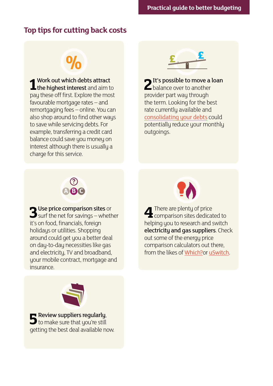## <span id="page-5-0"></span>**Top tips for cutting back costs**

# **%**

**1** Work out which debts attract<br>the highest interest and aim to Work out which debts attract pay these off first. Explore the most favourable mortgage rates – and remortgaging fees – online. You can also shop around to find other ways to save while servicing debts. For example, transferring a credit card balance could save you money on interest although there is usually a charge for this service.



**2**It's possible to move a loan  $\blacktriangle$  balance over to another provider part way through the term. Looking for the best rate currently available and [consolidating your debts](http://www.sainsburysbank.co.uk/loans/debt-consolidation-loans.shtml) could potentially reduce your monthly outgoings.



**3**Use price comparison sites or  $\sum$  surf the net for savings – whether it's on food, financials, foreign holidays or utilities. Shopping around could get you a better deal on day-to-day necessities like gas and electricity, TV and broadband, your mobile contract, mortgage and insurance.



**4** There are plenty of price **T** comparison sites dedicated to helping you to research and switch electricity and gas suppliers. Check out some of the energy price comparison calculators out there, from the likes of [Which?](http://www.which.co.uk/switch/)or [uSwitch](http://www.uswitch.com/gas-electricity/).



**5**Review suppliers regularly,  $\Box$  to make sure that you're still getting the best deal available now.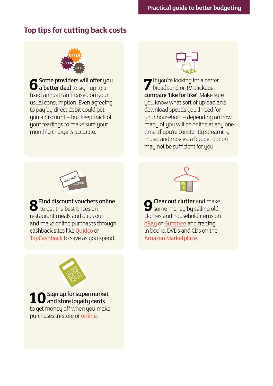## **Top tips for cutting back costs**



**6**Some providers will offer you  $\Box$  a better deal to sign up to a fixed annual tariff based on your usual consumption. Even agreeing to pay by direct debit could get you a discount – but keep track of your readings to make sure your monthly charge is accurate.



**7** If you're looking for a better broadband or TV package, compare 'like for like'. Make sure you know what sort of upload and download speeds you'll need for your household – depending on how many of you will be online at any one time. If you're constantly streaming music and movies, a budget option may not be sufficient for you.



**8**Find discount vouchers online to get the best prices on restaurant meals and days out, and make online purchases through cashback sites like [Quidco](http://www.quidco.com/) or [TopCashback](http://www.topcashback.co.uk/) to save as you spend.



**9** Clear out clutter and make<br>some money by selling old clothes and household items on [eBay](http://www.ebay.co.uk/) or [Gumtree](http://www.gumtree.com/) and trading in books, DVDs and CDs on the [Amazon Marketplace](http://services.amazon.co.uk/services/sell-online/how-it-works-pro.html?ld=SEUKSOAADGogBROPTamazon_marketplace).



**1**Sign up for supermarket and store loyalty cards to get money off when you make purchases in-store or [online.](http://www.google.co.uk/sheets/about/)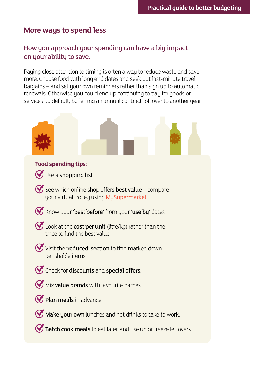## <span id="page-7-0"></span>**More ways to spend less**

#### How you approach your spending can have a big impact on your ability to save.

Paying close attention to timing is often a way to reduce waste and save more. Choose food with long end dates and seek out last-minute travel bargains – and set your own reminders rather than sign up to automatic renewals. Otherwise you could end up continuing to pay for goods or services by default, by letting an annual contract roll over to another year.

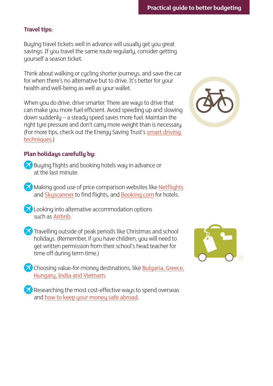#### **Travel tips:**

Buying travel tickets well in advance will usually get you great savings. If you travel the same route regularly, consider getting yourself a season ticket.

Think about walking or cycling shorter journeys, and save the car for when there's no alternative but to drive. It's better for your health and well-being as well as your wallet.

When you do drive, drive smarter. There are ways to drive that can make you more fuel efficient. Avoid speeding up and slowing down suddenly – a steady speed saves more fuel. Maintain the right tyre pressure and don't carry more weight than is necessary. (For more tips, check out the Energy Saving Trust's smart driving [techniques](http://www.energysavingtrust.org.uk/Travel/Driving).)

#### **Plan holidays carefully by:**

- **Buying flights and booking hotels way in advance or** at the last minute.
- Making good use of price comparison websites like [Netflights](http://www.netflights.com/) and [Skyscanner](http://www.skyscanner.net/) to find flights, and [Booking.com](http://www.booking.com/) for hotels.
- **Z** Looking into alternative accommodation options such as [Airbnb](https://www.airbnb.co.uk/).
- **Travelling outside of peak periods like Christmas and school** holidays. (Remember, if you have children, you will need to get written permission from their school's head teacher for time off during term time.)
- **Choosing value-for-money destinations, like [Bulgaria, Greece,](http://www.skyscanner.net/news/10-worlds-cheapest-countries-go-holiday)**  [Hungary, India and Vietnam](http://www.skyscanner.net/news/10-worlds-cheapest-countries-go-holiday).
- $\blacktriangleright$  Researching the most cost-effective ways to spend overseas and [how to keep your money safe abroad](http://www.sainsburysbank.co.uk/library/default/resources/keeping-your-money-safe-abroad.pdf).



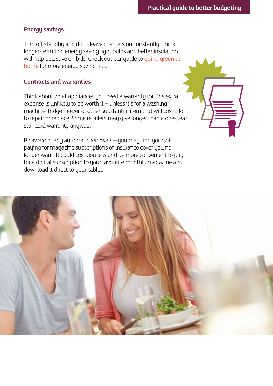#### **Energy savings**

Turn off standby and don't leave chargers on constantly. Think longer-term too: energy saving light bulbs and better insulation will help you save on bills. Check out our quide to going green at [home](http://www.sainsburysbank.co.uk/library/default/resources/how-to-go-green.pdf) for more energy saving tips.

#### **Contracts and warranties**

Think about what appliances you need a warranty for. The extra expense is unlikely to be worth it – unless it's for a washing machine, fridge freezer or other substantial item that will cost a lot to repair or replace. Some retailers may give longer than a one-year standard warranty anyway.

Be aware of any automatic renewals – you may find yourself paying for magazine subscriptions or insurance cover you no longer want. It could cost you less and be more convenient to pay for a digital subscription to your favourite monthly magazine and download it direct to your tablet.

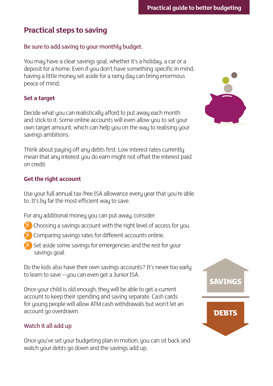## <span id="page-10-0"></span>**Practical steps to saving**

#### Be sure to add saving to your monthly budget.

You may have a clear savings goal, whether it's a holiday, a car or a deposit for a home. Even if you don't have something specific in mind, having a little money set aside for a rainy day can bring enormous peace of mind.

#### **Set a target**

Decide what you can realistically afford to put away each month and stick to it. Some online accounts will even allow you to set your own target amount, which can help you on the way to realising your savings ambitions.

Think about paying off any debts first. Low interest rates currently mean that any interest you do earn might not offset the interest paid on credit.

#### **Get the right account**

Use your full annual tax-free ISA allowance every year that you're able to. It's by far the most efficient way to save.

For any additional money you can put away, consider:

- Choosing a savings account with the right level of access for you.
- Comparing savings rates for different accounts online.
- Set aside some savings for emergencies and the rest for your savings goal.

Do the kids also have their own savings accounts? It's never too early to learn to save – you can even get a Junior ISA.

Once your child is old enough, they will be able to get a current account to keep their spending and saving separate. Cash cards for young people will allow ATM cash withdrawals but won't let an account go overdrawn.

#### Watch it all add up

Once you've set your budgeting plan in motion, you can sit back and watch your debts go down and the savings add up.